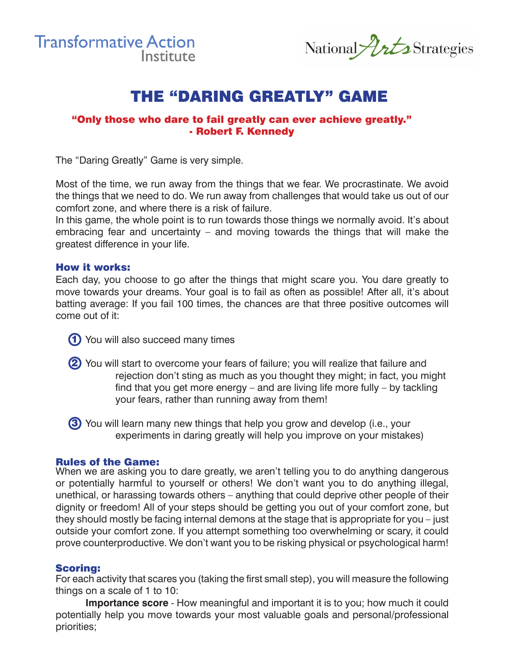

National *Urts* Strategies

## **THE "DARING GREATLY" GAME**

#### "Only those who dare to fail greatly can ever achieve greatly." - Robert F. Kennedy

The "Daring Greatly" Game is very simple.

Most of the time, we run away from the things that we fear. We procrastinate. We avoid the things that we need to do. We run away from challenges that would take us out of our comfort zone, and where there is a risk of failure.

In this game, the whole point is to run towards those things we normally avoid. It's about embracing fear and uncertainty – and moving towards the things that will make the greatest difference in your life.

#### How it works:

Each day, you choose to go after the things that might scare you. You dare greatly to move towards your dreams. Your goal is to fail as often as possible! After all, it's about batting average: If you fail 100 times, the chances are that three positive outcomes will come out of it:

- 1) You will also succeed many times
- 2) You will start to overcome your fears of failure; you will realize that failure and rejection don't sting as much as you thought they might; in fact, you might find that you get more energy – and are living life more fully – by tackling your fears, rather than running away from them!

3) You will learn many new things that help you grow and develop (i.e., your experiments in daring greatly will help you improve on your mistakes)

#### Rules of the Game:

When we are asking you to dare greatly, we aren't telling you to do anything dangerous or potentially harmful to yourself or others! We don't want you to do anything illegal, unethical, or harassing towards others – anything that could deprive other people of their dignity or freedom! All of your steps should be getting you out of your comfort zone, but they should mostly be facing internal demons at the stage that is appropriate for you – just outside your comfort zone. If you attempt something too overwhelming or scary, it could prove counterproductive. We don't want you to be risking physical or psychological harm!

#### Scoring:

For each activity that scares you (taking the first small step), you will measure the following things on a scale of 1 to 10:

**Importance score** - How meaningful and important it is to you; how much it could potentially help you move towards your most valuable goals and personal/professional priorities;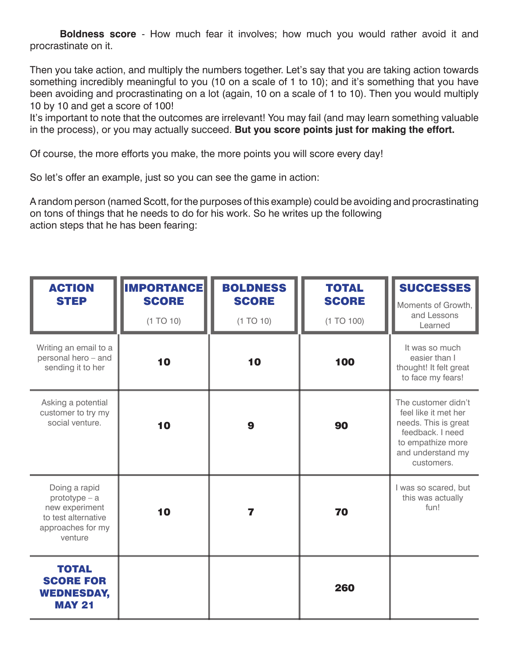**Boldness score** - How much fear it involves; how much you would rather avoid it and procrastinate on it.

Then you take action, and multiply the numbers together. Let's say that you are taking action towards something incredibly meaningful to you (10 on a scale of 1 to 10); and it's something that you have been avoiding and procrastinating on a lot (again, 10 on a scale of 1 to 10). Then you would multiply 10 by 10 and get a score of 100!

It's important to note that the outcomes are irrelevant! You may fail (and may learn something valuable in the process), or you may actually succeed. **But you score points just for making the effort.**

Of course, the more efforts you make, the more points you will score every day!

So let's offer an example, just so you can see the game in action:

A random person (named Scott, for the purposes of this example) could be avoiding and procrastinating on tons of things that he needs to do for his work. So he writes up the following action steps that he has been fearing:

| <b>ACTION</b><br><b>STEP</b>                                                                              | <b>IMPORTANCE</b><br><b>SCORE</b><br>(1 TO 10) | <b>BOLDNESS</b><br><b>SCORE</b><br>(1 TO 10) | <b>TOTAL</b><br><b>SCORE</b><br>(1 TO 100) | <b>SUCCESSES</b><br>Moments of Growth,<br>and Lessons                                                                                           |
|-----------------------------------------------------------------------------------------------------------|------------------------------------------------|----------------------------------------------|--------------------------------------------|-------------------------------------------------------------------------------------------------------------------------------------------------|
| Writing an email to a<br>personal hero - and<br>sending it to her                                         | 10                                             | 10                                           | 100                                        | Learned<br>It was so much<br>easier than I<br>thought! It felt great<br>to face my fears!                                                       |
| Asking a potential<br>customer to try my<br>social venture.                                               | 10                                             | $\boldsymbol{9}$                             | 90                                         | The customer didn't<br>feel like it met her<br>needs. This is great<br>feedback. I need<br>to empathize more<br>and understand my<br>customers. |
| Doing a rapid<br>$prototype - a$<br>new experiment<br>to test alternative<br>approaches for my<br>venture | 10                                             | 7                                            | 70                                         | I was so scared, but<br>this was actually<br>fun!                                                                                               |
| <b>TOTAL</b><br><b>SCORE FOR</b><br><b>WEDNESDAY,</b><br><b>MAY 21</b>                                    |                                                |                                              | 260                                        |                                                                                                                                                 |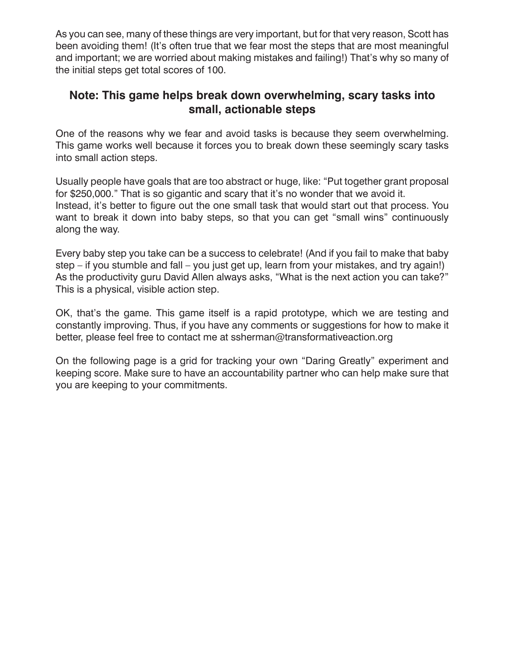As you can see, many of these things are very important, but for that very reason, Scott has been avoiding them! (It's often true that we fear most the steps that are most meaningful and important; we are worried about making mistakes and failing!) That's why so many of the initial steps get total scores of 100.

### **Note: This game helps break down overwhelming, scary tasks into small, actionable steps**

One of the reasons why we fear and avoid tasks is because they seem overwhelming. This game works well because it forces you to break down these seemingly scary tasks into small action steps.

Usually people have goals that are too abstract or huge, like: "Put together grant proposal for \$250,000." That is so gigantic and scary that it's no wonder that we avoid it. Instead, it's better to figure out the one small task that would start out that process. You want to break it down into baby steps, so that you can get "small wins" continuously along the way.

Every baby step you take can be a success to celebrate! (And if you fail to make that baby step – if you stumble and fall – you just get up, learn from your mistakes, and try again!) As the productivity guru David Allen always asks, "What is the next action you can take?" This is a physical, visible action step.

OK, that's the game. This game itself is a rapid prototype, which we are testing and constantly improving. Thus, if you have any comments or suggestions for how to make it better, please feel free to contact me at ssherman@transformativeaction.org

On the following page is a grid for tracking your own "Daring Greatly" experiment and keeping score. Make sure to have an accountability partner who can help make sure that you are keeping to your commitments.